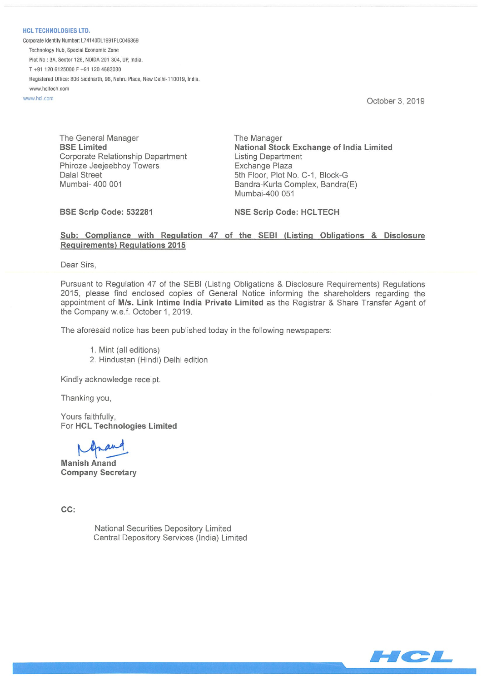**HCL TECHNOLOGIES LTD.** Corporate Identity Number: L74140DL1991PLC046369 Technology Hub, Special Economic Zone Plot No: 3A, Sector 126, NOIDA 201 304, UP, India.  $T + 91 120 6125000 F + 91 120 4683030$ Registered Office: 806 Siddharth, 96, Nehru Place, New Delhi•1 10019, India www.hcltech.com

www.hcl.com Cristopher 3, 2019

The General Manager The Manager Corporate Relationship Department Listing Department Phiroze Jeejeebhoy Towers **Exchange Plaza** Dalal Street 5th Floor, Plot No. C-1, Block-G Mumbai- 400 001 **Bandra-Kurla Complex, Bandra**(E)

BSE Limited National Stock Exchange of India Limited Mumbai-400 051

BSE Scrip Code: 532281 NSE Scrip Code: HCLTECH

### Sub: Compliance with Regulation 47 of the SEBI (Listing Obligations & Disclosure Requirements) Regulations 2015

Dear Sirs,

Pursuant to Regulation 47 of the SEBI (Listing Obligations & Disclosure Requirements) Regulations 2015, please find enclosed copies of General Notice informing the shareholders regarding the appointment of MIs. Link Intime India Private Limited as the Registrar & Share Transfer Agent of the Company w.e.f. October 1, 2019.

The aforesaid notice has been published today in the following newspapers:

- 1. Mint (all editions)
- 2. Hindustan (Hindi) Delhi edition

Kindly acknowledge receipt.

Thanking you,

Yours faithfully, For HCL Technologies Limited

Manish Anand Company Secretary

 $CC:$ 

National Securities Depository Limited Central Depository Services (India) Limited

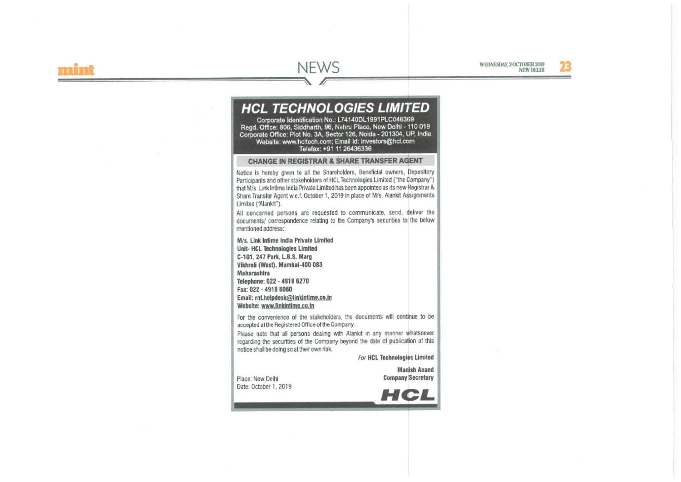# **NEWS**

WEDNESDAY 2 OCTOBER 2019 **NEW DELHI** 

## **HCL TECHNOLOGIES LIMITED**

Corporate Identification No.: L74140DL1991PLC046369 Read, Office: 806, Siddharth, 96, Nehru Place, New Delhi - 110 019 Corporate Office: Plot No. 3A, Sector 126, Noida - 201304, UP, India Website: www.hcltech.com; Email Id: investors@hcl.com Telefax: +91 11 26436336

#### **CHANGE IN REGISTRAR & SHARE TRANSFER AGENT**

Notice is hereby given to all the Shareholders, Beneficial owners, Depository Participants and other stakeholders of HCL Technologies Limited ("the Company") that M/s. Link Intime India Private Limited has been appointed as its new Registrar & Share Transfer Agent w.e.f. October 1, 2019 in place of M/s. Alankit Assignments Limited ("Alankit").

All concerned persons are requested to communicate, send, deliver the documents/ correspondence relating to the Company's securities to the below mentioned address:

M/s. Link Intime India Private Limited Unit- HCL Technologies Limited C-101, 247 Park, L.B.S. Marg Vikhroli (West), Mumbai-400 083 Maharashtra Telephone: 022 - 4918 6270 Fax: 022 - 4918 6060 Email: rnt.helpdesk@linkintime.co.in Website: www.linkintime.co.in

For the convenience of the stakeholders, the documents will continue to be accepted at the Registered Office of the Company.

Please note that all persons dealing with Alankit in any manner whatsoever regarding the securities of the Company beyond the date of publication of this notice shall be doing so at their own risk.

For HCL Technologies Limited

**Manish Anand Company Secretary** 

Place: New Delhi Date: October 1, 2019